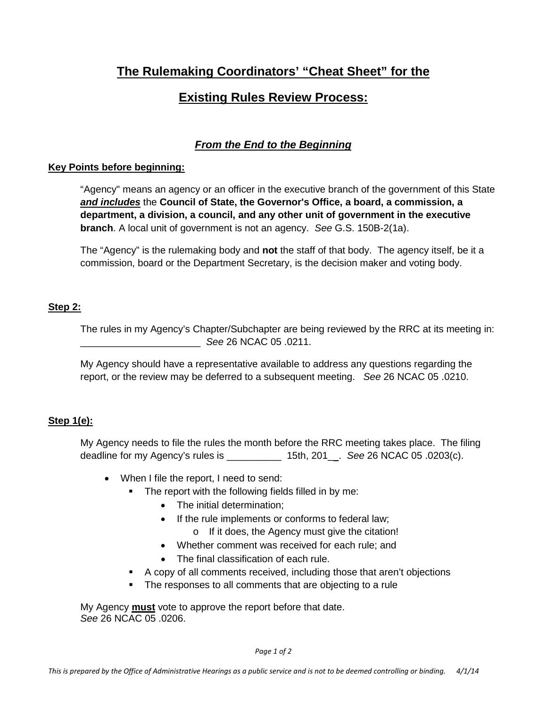# **The Rulemaking Coordinators' "Cheat Sheet" for the**

# **Existing Rules Review Process:**

## *From the End to the Beginning*

## **Key Points before beginning:**

"Agency" means an agency or an officer in the executive branch of the government of this State *and includes* the **Council of State, the Governor's Office, a board, a commission, a department, a division, a council, and any other unit of government in the executive branch**. A local unit of government is not an agency. *See* G.S. 150B-2(1a).

The "Agency" is the rulemaking body and **not** the staff of that body. The agency itself, be it a commission, board or the Department Secretary, is the decision maker and voting body.

## **Step 2:**

The rules in my Agency's Chapter/Subchapter are being reviewed by the RRC at its meeting in: \_\_\_\_\_\_\_\_\_\_\_\_\_\_\_\_\_\_\_\_\_\_ *See* 26 NCAC 05 .0211.

My Agency should have a representative available to address any questions regarding the report, or the review may be deferred to a subsequent meeting. *See* 26 NCAC 05 .0210.

## **Step 1(e):**

My Agency needs to file the rules the month before the RRC meeting takes place. The filing deadline for my Agency's rules is \_\_\_\_\_\_\_\_\_\_ 15th, 201\_ . *See* 26 NCAC 05 .0203(c).

- When I file the report, I need to send:
	- **The report with the following fields filled in by me:** 
		- The initial determination:
		- If the rule implements or conforms to federal law;
			- o If it does, the Agency must give the citation!
		- Whether comment was received for each rule; and
		- The final classification of each rule.
	- A copy of all comments received, including those that aren't objections
	- The responses to all comments that are objecting to a rule

My Agency **must** vote to approve the report before that date. *See* 26 NCAC 05 .0206.

*Page 1 of 2*